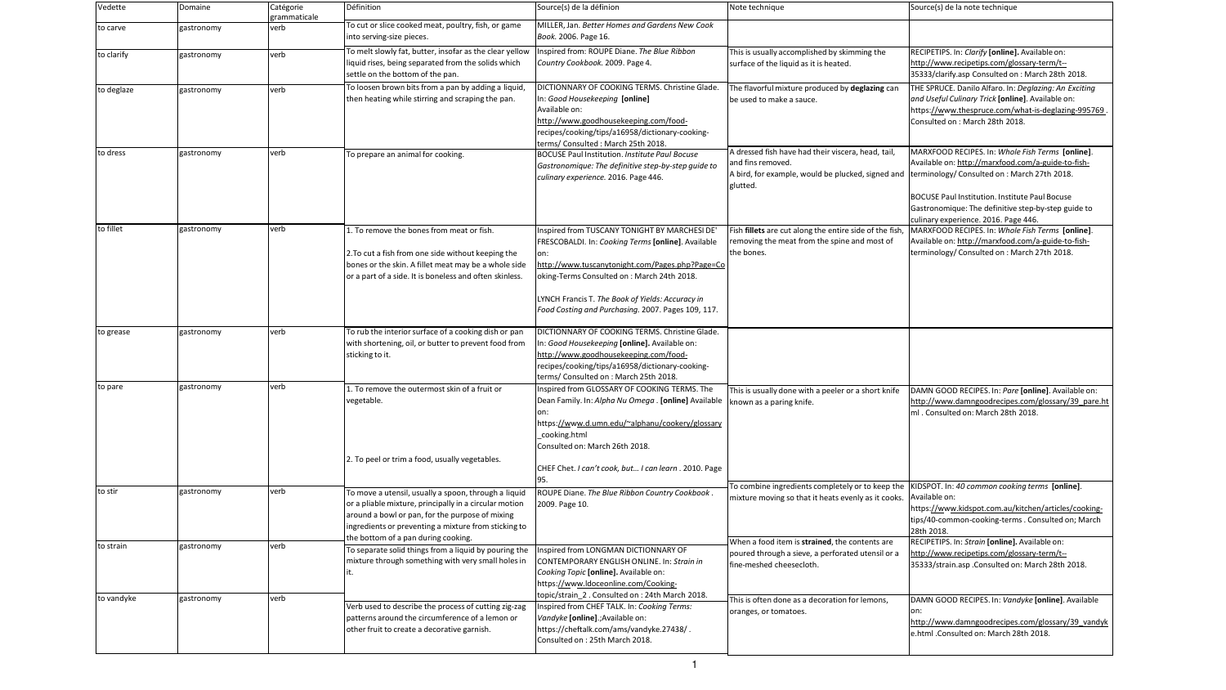| Vedette    | Domaine    | Catégorie<br>grammaticale | Définition                                                                                                                                                                                                                | Source(s) de la définion                                                                                                                                                                                                                                                                                       | Note technique                                                                                                                                                                         | Source(s) de la note technique                                                                                                                                                                                                                                 |
|------------|------------|---------------------------|---------------------------------------------------------------------------------------------------------------------------------------------------------------------------------------------------------------------------|----------------------------------------------------------------------------------------------------------------------------------------------------------------------------------------------------------------------------------------------------------------------------------------------------------------|----------------------------------------------------------------------------------------------------------------------------------------------------------------------------------------|----------------------------------------------------------------------------------------------------------------------------------------------------------------------------------------------------------------------------------------------------------------|
| to carve   | gastronomy | verb                      | To cut or slice cooked meat, poultry, fish, or game<br>into serving-size pieces.                                                                                                                                          | MILLER, Jan. Better Homes and Gardens New Cook<br>Book. 2006. Page 16.                                                                                                                                                                                                                                         |                                                                                                                                                                                        |                                                                                                                                                                                                                                                                |
| to clarify | gastronomy | verb                      | To melt slowly fat, butter, insofar as the clear yellow<br>liquid rises, being separated from the solids which<br>settle on the bottom of the pan.                                                                        | Inspired from: ROUPE Diane. The Blue Ribbon<br>Country Cookbook. 2009. Page 4.                                                                                                                                                                                                                                 | This is usually accomplished by skimming the<br>surface of the liquid as it is heated.                                                                                                 | RECIPETIPS. In: Clarify [online]. Available on:<br>http://www.recipetips.com/glossary-term/t--<br>35333/clarify.asp Consulted on : March 28th 2018.                                                                                                            |
| to deglaze | gastronomy | lverb                     | To loosen brown bits from a pan by adding a liquid,<br>then heating while stirring and scraping the pan.                                                                                                                  | DICTIONNARY OF COOKING TERMS. Christine Glade.<br>In: Good Housekeeping [online]<br>Available on:<br>http://www.goodhousekeeping.com/food-<br>recipes/cooking/tips/a16958/dictionary-cooking-<br>terms/ Consulted: March 25th 2018.                                                                            | The flavorful mixture produced by deglazing can<br>be used to make a sauce.                                                                                                            | THE SPRUCE. Danilo Alfaro. In: Deglazing: An Exciting<br>and Useful Culinary Trick [online]. Available on:<br>https://www.thespruce.com/what-is-deglazing-995769<br>Consulted on: March 28th 2018.                                                             |
| to dress   | gastronomy | verb                      | To prepare an animal for cooking.                                                                                                                                                                                         | <b>BOCUSE Paul Institution. Institute Paul Bocuse</b><br>Gastronomique: The definitive step-by-step guide to<br>culinary experience. 2016. Page 446.                                                                                                                                                           | A dressed fish have had their viscera, head, tail,<br>and fins removed.<br>A bird, for example, would be plucked, signed and  terminology/ Consulted on : March 27th 2018.<br>glutted. | MARXFOOD RECIPES. In: Whole Fish Terms [online].<br>Available on: http://marxfood.com/a-guide-to-fish-<br><b>BOCUSE Paul Institution. Institute Paul Bocuse</b><br>Gastronomique: The definitive step-by-step guide to<br>culinary experience. 2016. Page 446. |
| to fillet  | gastronomy | verb                      | 1. To remove the bones from meat or fish.<br>2. To cut a fish from one side without keeping the<br>bones or the skin. A fillet meat may be a whole side<br>or a part of a side. It is boneless and often skinless.        | Inspired from TUSCANY TONIGHT BY MARCHESI DE'<br>FRESCOBALDI. In: Cooking Terms [online]. Available<br>http://www.tuscanytonight.com/Pages.php?Page=Co<br>oking-Terms Consulted on: March 24th 2018.<br>LYNCH Francis T. The Book of Yields: Accuracy in<br>Food Costing and Purchasing. 2007. Pages 109, 117. | Fish fillets are cut along the entire side of the fish<br>removing the meat from the spine and most of<br>the bones.                                                                   | MARXFOOD RECIPES. In: Whole Fish Terms [online].<br>Available on: http://marxfood.com/a-guide-to-fish-<br>terminology/ Consulted on: March 27th 2018.                                                                                                          |
| to grease  | gastronomy | verb                      | To rub the interior surface of a cooking dish or pan<br>with shortening, oil, or butter to prevent food from<br>sticking to it.                                                                                           | DICTIONNARY OF COOKING TERMS. Christine Glade.<br>In: Good Housekeeping [online]. Available on:<br>http://www.goodhousekeeping.com/food-<br>recipes/cooking/tips/a16958/dictionary-cooking-<br>terms/ Consulted on: March 25th 2018.                                                                           |                                                                                                                                                                                        |                                                                                                                                                                                                                                                                |
| to pare    | gastronomy | verb                      | 1. To remove the outermost skin of a fruit or<br>vegetable.<br>2. To peel or trim a food, usually vegetables.                                                                                                             | Inspired from GLOSSARY OF COOKING TERMS. The<br>Dean Family. In: Alpha Nu Omega . [online] Available<br>https://www.d.umn.edu/~alphanu/cookery/glossary<br>cooking.html<br>Consulted on: March 26th 2018.<br>CHEF Chet. I can't cook, but I can learn . 2010. Page                                             | This is usually done with a peeler or a short knife<br>known as a paring knife.                                                                                                        | [DAMN GOOD RECIPES. In: Pare [online]. Available on:<br>http://www.damngoodrecipes.com/glossary/39 pare.ht<br>ml. Consulted on: March 28th 2018.                                                                                                               |
| to stir    | gastronomy | verb                      | To move a utensil, usually a spoon, through a liquid<br>or a pliable mixture, principally in a circular motion<br>around a bowl or pan, for the purpose of mixing<br>ingredients or preventing a mixture from sticking to | ROUPE Diane. The Blue Ribbon Country Cookbook.<br>2009. Page 10.                                                                                                                                                                                                                                               | To combine ingredients completely or to keep the  KIDSPOT. In: 40 common cooking terms [online].<br>mixture moving so that it heats evenly as it cooks. Available on:                  | https://www.kidspot.com.au/kitchen/articles/cooking-<br>tips/40-common-cooking-terms . Consulted on; March<br>28th 2018.                                                                                                                                       |
| to strain  | gastronomy | verb                      | the bottom of a pan during cooking.<br>To separate solid things from a liquid by pouring the<br>mixture through something with very small holes in                                                                        | Inspired from LONGMAN DICTIONNARY OF<br>CONTEMPORARY ENGLISH ONLINE. In: Strain in<br>Cooking Topic [online]. Available on:<br>https://www.ldoceonline.com/Cooking-                                                                                                                                            | When a food item is strained, the contents are<br>poured through a sieve, a perforated utensil or a<br>fine-meshed cheesecloth.                                                        | RECIPETIPS. In: Strain [online]. Available on:<br>http://www.recipetips.com/glossary-term/t--<br>35333/strain.asp.Consulted on: March 28th 2018.                                                                                                               |
| to vandyke | gastronomy | verb                      | Verb used to describe the process of cutting zig-zag<br>patterns around the circumference of a lemon or<br>other fruit to create a decorative garnish.                                                                    | topic/strain_2. Consulted on: 24th March 2018.<br>Inspired from CHEF TALK. In: Cooking Terms:<br>Vandyke [online].; Available on:<br>https://cheftalk.com/ams/vandyke.27438/.<br>Consulted on: 25th March 2018.                                                                                                | This is often done as a decoration for lemons,<br>oranges, or tomatoes.                                                                                                                | DAMN GOOD RECIPES. In: Vandyke [online]. Available<br>on:<br>http://www.damngoodrecipes.com/glossary/39 vandyk<br>e.html .Consulted on: March 28th 2018.                                                                                                       |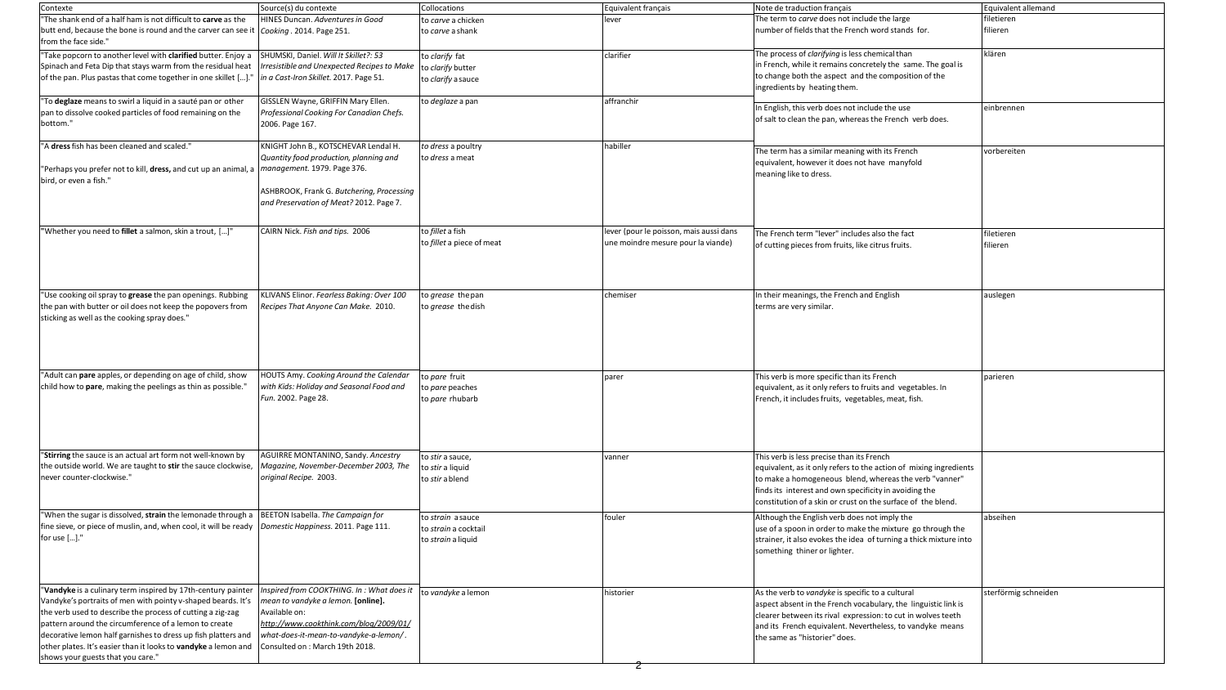| Contexte                                                                                                                       | Source(s) du contexte                                         | Collocations                           | Equivalent français                     | Note de             |
|--------------------------------------------------------------------------------------------------------------------------------|---------------------------------------------------------------|----------------------------------------|-----------------------------------------|---------------------|
| "The shank end of a half ham is not difficult to carve as the<br>butt end, because the bone is round and the carver can see it | HINES Duncan. Adventures in Good<br>Cooking . 2014. Page 251. | to carve a chicken<br>to carve a shank | lever                                   | The terr<br>number  |
| from the face side."                                                                                                           |                                                               |                                        |                                         |                     |
| "Take popcorn to another level with clarified butter. Enjoy a                                                                  | SHUMSKI, Daniel. Will It Skillet?: 53                         | to clarify fat                         | clarifier                               | The pro             |
| Spinach and Feta Dip that stays warm from the residual heat                                                                    | Irresistible and Unexpected Recipes to Make                   | to clarify butter                      |                                         | in Frenc            |
| of the pan. Plus pastas that come together in one skillet []."                                                                 | in a Cast-Iron Skillet. 2017. Page 51.                        | to clarify a sauce                     |                                         | to chan             |
|                                                                                                                                |                                                               |                                        |                                         | ingredie            |
| "To deglaze means to swirl a liquid in a sauté pan or other                                                                    | GISSLEN Wayne, GRIFFIN Mary Ellen.                            | to deglaze a pan                       | affranchir                              |                     |
| pan to dissolve cooked particles of food remaining on the                                                                      | Professional Cooking For Canadian Chefs.                      |                                        |                                         | In Englis           |
| bottom."                                                                                                                       | 2006. Page 167.                                               |                                        |                                         | of salt to          |
| "A dress fish has been cleaned and scaled."                                                                                    | KNIGHT John B., KOTSCHEVAR Lendal H.                          | to dress a poultry                     | habiller                                |                     |
|                                                                                                                                | Quantity food production, planning and                        | to dress a meat                        |                                         | The terr            |
| "Perhaps you prefer not to kill, dress, and cut up an animal, a                                                                | management. 1979. Page 376.                                   |                                        |                                         | equivale            |
| bird, or even a fish."                                                                                                         |                                                               |                                        |                                         | meanin              |
|                                                                                                                                | ASHBROOK, Frank G. Butchering, Processing                     |                                        |                                         |                     |
|                                                                                                                                | and Preservation of Meat? 2012. Page 7.                       |                                        |                                         |                     |
|                                                                                                                                |                                                               |                                        |                                         |                     |
| "Whether you need to fillet a salmon, skin a trout, []"                                                                        | CAIRN Nick. Fish and tips. 2006                               | to fillet a fish                       | lever (pour le poisson, mais aussi dans | The Frei            |
|                                                                                                                                |                                                               | to fillet a piece of meat              | une moindre mesure pour la viande)      | of cuttir           |
|                                                                                                                                |                                                               |                                        |                                         |                     |
|                                                                                                                                |                                                               |                                        |                                         |                     |
|                                                                                                                                |                                                               |                                        |                                         |                     |
| "Use cooking oil spray to grease the pan openings. Rubbing                                                                     | KLIVANS Elinor. Fearless Baking: Over 100                     | to grease the pan                      | chemiser                                | In their            |
| the pan with butter or oil does not keep the popovers from                                                                     | Recipes That Anyone Can Make. 2010.                           | to grease the dish                     |                                         | terms a             |
| sticking as well as the cooking spray does."                                                                                   |                                                               |                                        |                                         |                     |
|                                                                                                                                |                                                               |                                        |                                         |                     |
|                                                                                                                                |                                                               |                                        |                                         |                     |
|                                                                                                                                |                                                               |                                        |                                         |                     |
| "Adult can pare apples, or depending on age of child, show                                                                     | HOUTS Amy. Cooking Around the Calendar                        |                                        |                                         |                     |
| child how to pare, making the peelings as thin as possible."                                                                   | with Kids: Holiday and Seasonal Food and                      | to pare fruit                          | <b>parer</b>                            | This ver            |
|                                                                                                                                | Fun. 2002. Page 28.                                           | to pare peaches<br>to pare rhubarb     |                                         | equivale<br>French, |
|                                                                                                                                |                                                               |                                        |                                         |                     |
|                                                                                                                                |                                                               |                                        |                                         |                     |
|                                                                                                                                |                                                               |                                        |                                         |                     |
|                                                                                                                                |                                                               |                                        |                                         |                     |
| "Stirring the sauce is an actual art form not well-known by                                                                    | AGUIRRE MONTANINO, Sandy. Ancestry                            | to stir a sauce,                       | vanner                                  | This ver            |
| the outside world. We are taught to stir the sauce clockwise,                                                                  | Magazine, November-December 2003, The                         | to stir a liquid                       |                                         | equivale            |
| never counter-clockwise."                                                                                                      | original Recipe. 2003.                                        | to <i>stir</i> a blend                 |                                         | to make             |
|                                                                                                                                |                                                               |                                        |                                         | finds its           |
|                                                                                                                                |                                                               |                                        |                                         | constitu            |
| "When the sugar is dissolved, strain the lemonade through a                                                                    | BEETON Isabella. The Campaign for                             | to strain a sauce                      | fouler                                  | Althoug             |
| fine sieve, or piece of muslin, and, when cool, it will be ready                                                               | Domestic Happiness. 2011. Page 111.                           | to strain a cocktail                   |                                         | use of a            |
| for use []."                                                                                                                   |                                                               | to strain a liquid                     |                                         | strainer            |
|                                                                                                                                |                                                               |                                        |                                         | someth              |
|                                                                                                                                |                                                               |                                        |                                         |                     |
|                                                                                                                                |                                                               |                                        |                                         |                     |
| "Vandyke is a culinary term inspired by 17th-century painter                                                                   | Inspired from COOKTHING. In: What does it                     | to vandyke a lemon                     | historier                               | As the v            |
| Vandyke's portraits of men with pointy v-shaped beards. It's                                                                   | mean to vandyke a lemon. [online].                            |                                        |                                         | aspect a            |
| the verb used to describe the process of cutting a zig-zag                                                                     | Available on:                                                 |                                        |                                         | clearer             |
| pattern around the circumference of a lemon to create                                                                          | http://www.cookthink.com/blog/2009/01/                        |                                        |                                         | and its             |
| decorative lemon half garnishes to dress up fish platters and                                                                  | what-does-it-mean-to-vandyke-a-lemon/.                        |                                        |                                         | the sam             |
| other plates. It's easier than it looks to vandyke a lemon and                                                                 | Consulted on : March 19th 2018.                               |                                        |                                         |                     |
| shows your guests that you care."                                                                                              |                                                               |                                        |                                         |                     |

| Note de traduction français                                       | Equivalent allemand  |
|-------------------------------------------------------------------|----------------------|
| The term to carve does not include the large                      | filetieren           |
| number of fields that the French word stands for.                 | filieren             |
|                                                                   |                      |
| The process of <i>clarifying</i> is less chemical than            | klären               |
| in French, while it remains concretely the same. The goal is      |                      |
| to change both the aspect and the composition of the              |                      |
| ingredients by heating them.                                      |                      |
|                                                                   |                      |
| In English, this verb does not include the use                    | einbrennen           |
| of salt to clean the pan, whereas the French verb does.           |                      |
|                                                                   |                      |
| The term has a similar meaning with its French                    | vorbereiten          |
| equivalent, however it does not have manyfold                     |                      |
| meaning like to dress.                                            |                      |
|                                                                   |                      |
|                                                                   |                      |
|                                                                   |                      |
|                                                                   |                      |
| The French term "lever" includes also the fact                    | filetieren           |
| of cutting pieces from fruits, like citrus fruits.                | filieren             |
|                                                                   |                      |
|                                                                   |                      |
|                                                                   |                      |
| In their meanings, the French and English                         | auslegen             |
| terms are very similar.                                           |                      |
|                                                                   |                      |
|                                                                   |                      |
|                                                                   |                      |
|                                                                   |                      |
|                                                                   |                      |
| This verb is more specific than its French                        | parieren             |
| equivalent, as it only refers to fruits and vegetables. In        |                      |
| French, it includes fruits, vegetables, meat, fish.               |                      |
|                                                                   |                      |
|                                                                   |                      |
|                                                                   |                      |
|                                                                   |                      |
| This verb is less precise than its French                         |                      |
| equivalent, as it only refers to the action of mixing ingredients |                      |
| to make a homogeneous blend, whereas the verb "vanner"            |                      |
| finds its interest and own specificity in avoiding the            |                      |
| constitution of a skin or crust on the surface of the blend.      |                      |
| Although the English verb does not imply the                      | abseihen             |
| use of a spoon in order to make the mixture go through the        |                      |
| strainer, it also evokes the idea of turning a thick mixture into |                      |
| something thiner or lighter.                                      |                      |
|                                                                   |                      |
|                                                                   |                      |
| As the verb to vandyke is specific to a cultural                  | sterförmig schneiden |
| aspect absent in the French vocabulary, the linguistic link is    |                      |
| clearer between its rival expression: to cut in wolves teeth      |                      |
| and its French equivalent. Nevertheless, to vandyke means         |                      |
| the same as "historier" does.                                     |                      |
|                                                                   |                      |
|                                                                   |                      |